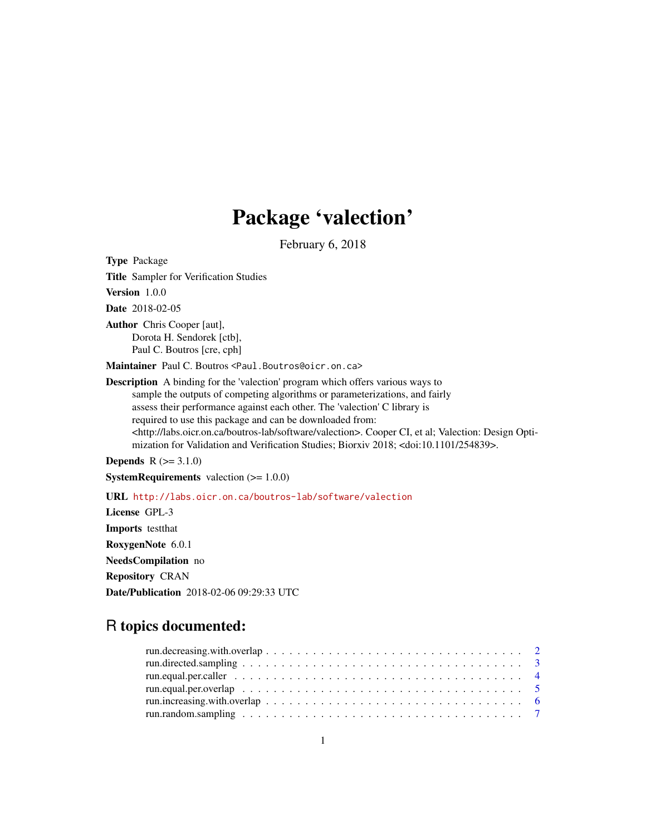## Package 'valection'

February 6, 2018

Type Package Title Sampler for Verification Studies

Version 1.0.0

Date 2018-02-05

Author Chris Cooper [aut], Dorota H. Sendorek [ctb], Paul C. Boutros [cre, cph]

Maintainer Paul C. Boutros <Paul.Boutros@oicr.on.ca>

Description A binding for the 'valection' program which offers various ways to sample the outputs of competing algorithms or parameterizations, and fairly assess their performance against each other. The 'valection' C library is required to use this package and can be downloaded from: <http://labs.oicr.on.ca/boutros-lab/software/valection>. Cooper CI, et al; Valection: Design Optimization for Validation and Verification Studies; Biorxiv 2018; <doi:10.1101/254839>.

**Depends**  $R (= 3.1.0)$ 

**SystemRequirements** valection  $(>= 1.0.0)$ 

URL <http://labs.oicr.on.ca/boutros-lab/software/valection>

License GPL-3 Imports testthat RoxygenNote 6.0.1 NeedsCompilation no Repository CRAN Date/Publication 2018-02-06 09:29:33 UTC

### R topics documented: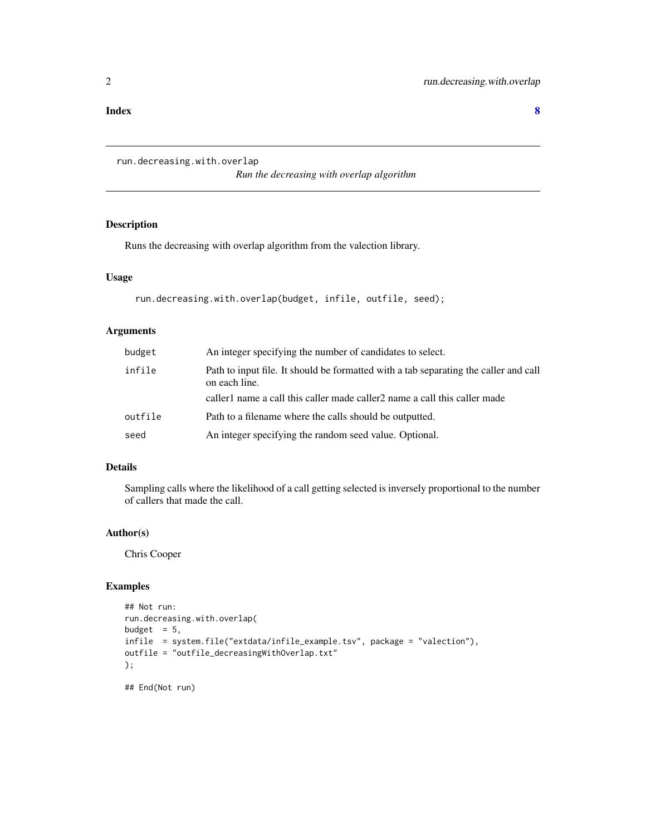#### <span id="page-1-0"></span>**Index** [8](#page-7-0) **8**

```
run.decreasing.with.overlap
```
*Run the decreasing with overlap algorithm*

#### Description

Runs the decreasing with overlap algorithm from the valection library.

#### Usage

```
run.decreasing.with.overlap(budget, infile, outfile, seed);
```
#### Arguments

| budget  | An integer specifying the number of candidates to select.                                             |
|---------|-------------------------------------------------------------------------------------------------------|
| infile  | Path to input file. It should be formatted with a tab separating the caller and call<br>on each line. |
|         | caller 1 name a call this caller made caller 2 name a call this caller made                           |
| outfile | Path to a filename where the calls should be outputted.                                               |
| seed    | An integer specifying the random seed value. Optional.                                                |

#### Details

Sampling calls where the likelihood of a call getting selected is inversely proportional to the number of callers that made the call.

#### Author(s)

Chris Cooper

#### Examples

```
## Not run:
run.decreasing.with.overlap(
budget = 5,
infile = system.file("extdata/infile_example.tsv", package = "valection"),
outfile = "outfile_decreasingWithOverlap.txt"
);
## End(Not run)
```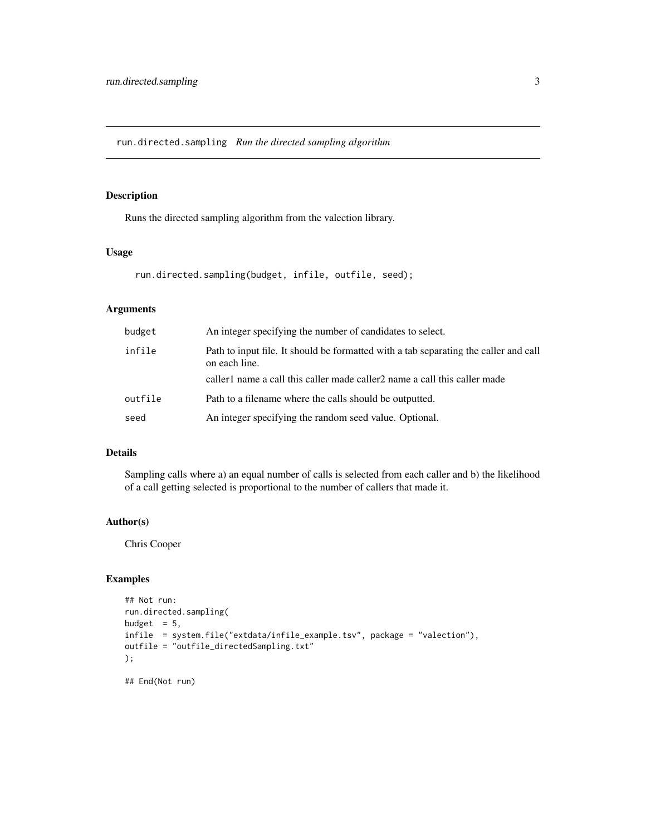<span id="page-2-0"></span>run.directed.sampling *Run the directed sampling algorithm*

#### Description

Runs the directed sampling algorithm from the valection library.

#### Usage

```
run.directed.sampling(budget, infile, outfile, seed);
```
#### Arguments

| budget  | An integer specifying the number of candidates to select.                                             |
|---------|-------------------------------------------------------------------------------------------------------|
| infile  | Path to input file. It should be formatted with a tab separating the caller and call<br>on each line. |
|         | caller 1 name a call this caller made caller 2 name a call this caller made                           |
| outfile | Path to a filename where the calls should be outputted.                                               |
| seed    | An integer specifying the random seed value. Optional.                                                |

#### Details

Sampling calls where a) an equal number of calls is selected from each caller and b) the likelihood of a call getting selected is proportional to the number of callers that made it.

#### Author(s)

Chris Cooper

#### Examples

```
## Not run:
run.directed.sampling(
budget = 5,
infile = system.file("extdata/infile_example.tsv", package = "valection"),
outfile = "outfile_directedSampling.txt"
);
```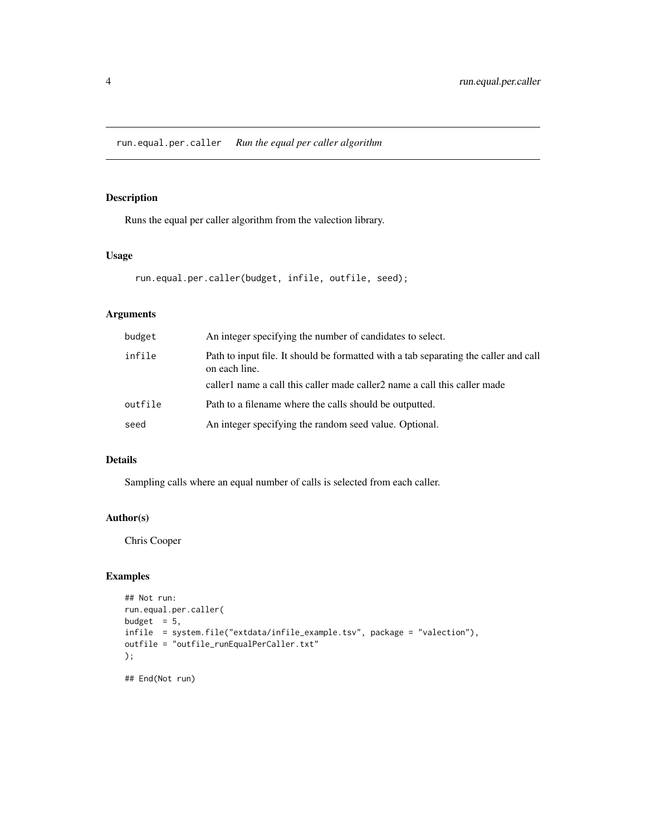#### <span id="page-3-0"></span>Description

Runs the equal per caller algorithm from the valection library.

#### Usage

```
run.equal.per.caller(budget, infile, outfile, seed);
```
#### Arguments

| budget  | An integer specifying the number of candidates to select.                                             |
|---------|-------------------------------------------------------------------------------------------------------|
| infile  | Path to input file. It should be formatted with a tab separating the caller and call<br>on each line. |
|         | caller 1 name a call this caller made caller 2 name a call this caller made                           |
| outfile | Path to a filename where the calls should be outputted.                                               |
| seed    | An integer specifying the random seed value. Optional.                                                |

#### Details

Sampling calls where an equal number of calls is selected from each caller.

#### Author(s)

Chris Cooper

#### Examples

```
## Not run:
run.equal.per.caller(
budget = 5,
infile = system.file("extdata/infile_example.tsv", package = "valection"),
outfile = "outfile_runEqualPerCaller.txt"
);
## End(Not run)
```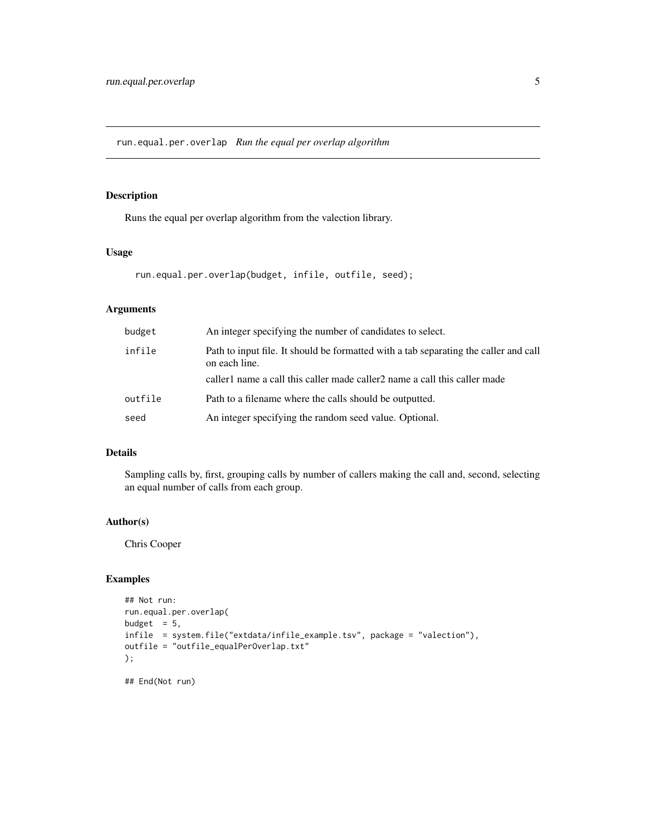<span id="page-4-0"></span>run.equal.per.overlap *Run the equal per overlap algorithm*

#### Description

Runs the equal per overlap algorithm from the valection library.

#### Usage

```
run.equal.per.overlap(budget, infile, outfile, seed);
```
#### Arguments

| budget  | An integer specifying the number of candidates to select.                                             |
|---------|-------------------------------------------------------------------------------------------------------|
| infile  | Path to input file. It should be formatted with a tab separating the caller and call<br>on each line. |
|         | caller 1 name a call this caller made caller 2 name a call this caller made                           |
| outfile | Path to a filename where the calls should be outputted.                                               |
| seed    | An integer specifying the random seed value. Optional.                                                |

#### Details

Sampling calls by, first, grouping calls by number of callers making the call and, second, selecting an equal number of calls from each group.

#### Author(s)

Chris Cooper

#### Examples

```
## Not run:
run.equal.per.overlap(
budget = 5,
infile = system.file("extdata/infile_example.tsv", package = "valection"),
outfile = "outfile_equalPerOverlap.txt"
);
```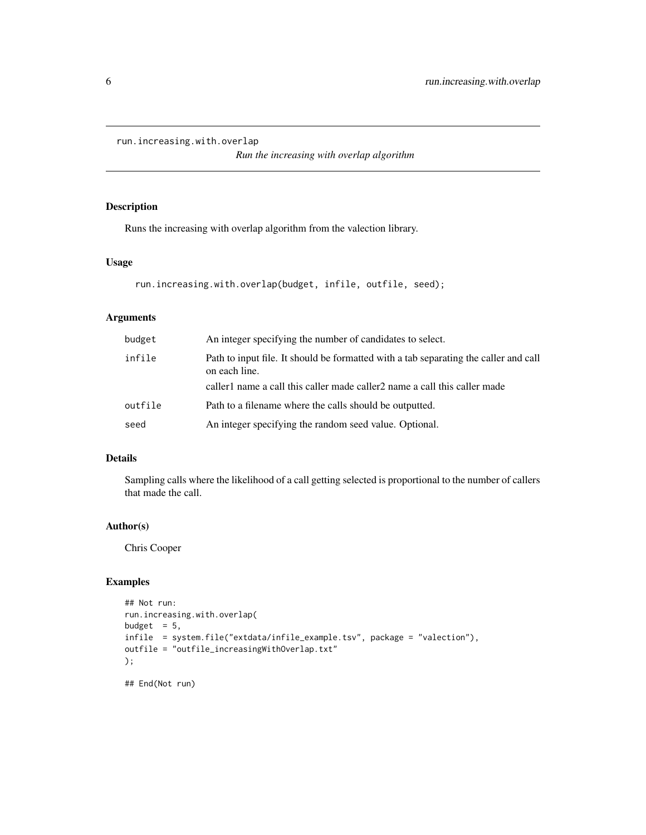```
run.increasing.with.overlap
```
*Run the increasing with overlap algorithm*

#### Description

Runs the increasing with overlap algorithm from the valection library.

#### Usage

```
run.increasing.with.overlap(budget, infile, outfile, seed);
```
#### Arguments

| budget  | An integer specifying the number of candidates to select.                                             |
|---------|-------------------------------------------------------------------------------------------------------|
| infile  | Path to input file. It should be formatted with a tab separating the caller and call<br>on each line. |
|         | caller 1 name a call this caller made caller 2 name a call this caller made                           |
| outfile | Path to a filename where the calls should be outputted.                                               |
| seed    | An integer specifying the random seed value. Optional.                                                |

#### Details

Sampling calls where the likelihood of a call getting selected is proportional to the number of callers that made the call.

#### Author(s)

Chris Cooper

#### Examples

```
## Not run:
run.increasing.with.overlap(
budget = 5,
infile = system.file("extdata/infile_example.tsv", package = "valection"),
outfile = "outfile_increasingWithOverlap.txt"
);
```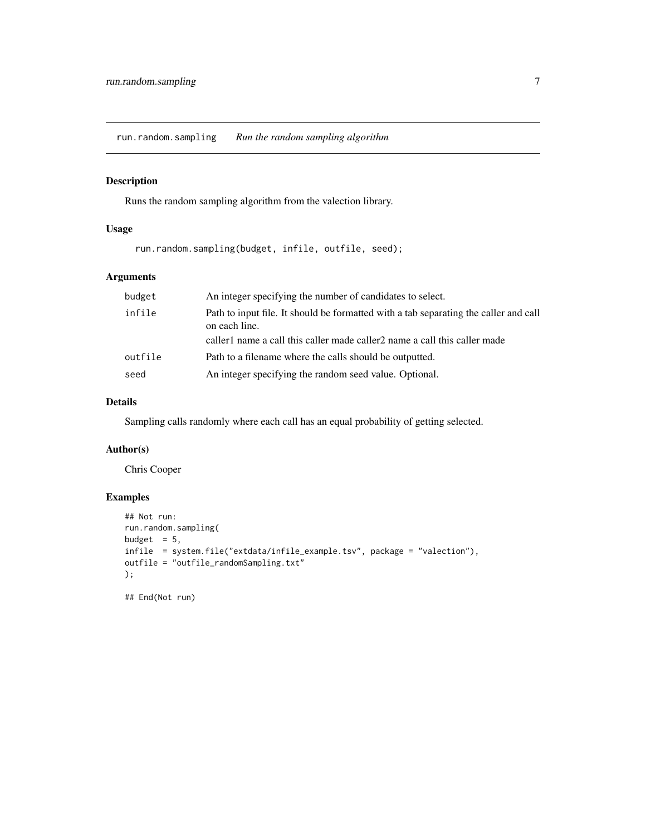<span id="page-6-0"></span>run.random.sampling *Run the random sampling algorithm*

#### Description

Runs the random sampling algorithm from the valection library.

#### Usage

```
run.random.sampling(budget, infile, outfile, seed);
```
#### Arguments

| budget  | An integer specifying the number of candidates to select.                                             |
|---------|-------------------------------------------------------------------------------------------------------|
| infile  | Path to input file. It should be formatted with a tab separating the caller and call<br>on each line. |
|         | caller 1 name a call this caller made caller 2 name a call this caller made                           |
| outfile | Path to a filename where the calls should be outputted.                                               |
| seed    | An integer specifying the random seed value. Optional.                                                |

#### Details

Sampling calls randomly where each call has an equal probability of getting selected.

#### Author(s)

Chris Cooper

#### Examples

```
## Not run:
run.random.sampling(
budget = 5,
infile = system.file("extdata/infile_example.tsv", package = "valection"),
outfile = "outfile_randomSampling.txt"
);
```